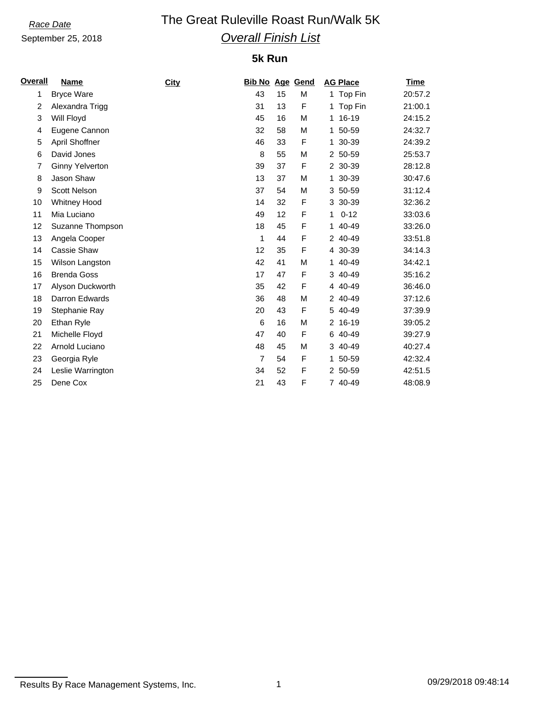### September 25, 2018

# *Race Date* The Great Ruleville Roast Run/Walk 5K *Overall Finish List*

### **5k Run**

| <b>Overall</b> | <b>Name</b>            | City | <b>Bib No Age Gend</b> |    |   |              | <b>AG Place</b> | <b>Time</b> |
|----------------|------------------------|------|------------------------|----|---|--------------|-----------------|-------------|
| 1              | <b>Bryce Ware</b>      |      | 43                     | 15 | M |              | 1 Top Fin       | 20:57.2     |
| 2              | Alexandra Trigg        |      | 31                     | 13 | F |              | 1 Top Fin       | 21:00.1     |
| 3              | Will Floyd             |      | 45                     | 16 | M |              | 1 16-19         | 24:15.2     |
| 4              | Eugene Cannon          |      | 32                     | 58 | М |              | 1 50-59         | 24:32.7     |
| 5              | April Shoffner         |      | 46                     | 33 | F |              | 1 30-39         | 24:39.2     |
| 6              | David Jones            |      | 8                      | 55 | M |              | 2 50-59         | 25:53.7     |
| 7              | <b>Ginny Yelverton</b> |      | 39                     | 37 | F |              | 2 30-39         | 28:12.8     |
| 8              | Jason Shaw             |      | 13                     | 37 | М |              | 1 30-39         | 30:47.6     |
| 9              | Scott Nelson           |      | 37                     | 54 | М |              | 3 50-59         | 31:12.4     |
| 10             | <b>Whitney Hood</b>    |      | 14                     | 32 | F |              | 3 30-39         | 32:36.2     |
| 11             | Mia Luciano            |      | 49                     | 12 | F | $\mathbf{1}$ | $0 - 12$        | 33:03.6     |
| 12             | Suzanne Thompson       |      | 18                     | 45 | F |              | 1 40-49         | 33:26.0     |
| 13             | Angela Cooper          |      | 1                      | 44 | F |              | 2 40-49         | 33:51.8     |
| 14             | Cassie Shaw            |      | 12                     | 35 | F |              | 4 30-39         | 34:14.3     |
| 15             | Wilson Langston        |      | 42                     | 41 | М |              | 1 40-49         | 34:42.1     |
| 16             | <b>Brenda Goss</b>     |      | 17                     | 47 | F |              | 3 40-49         | 35:16.2     |
| 17             | Alyson Duckworth       |      | 35                     | 42 | F |              | 4 40-49         | 36:46.0     |
| 18             | Darron Edwards         |      | 36                     | 48 | M |              | 2 40-49         | 37:12.6     |
| 19             | Stephanie Ray          |      | 20                     | 43 | F |              | 5 40-49         | 37:39.9     |
| 20             | Ethan Ryle             |      | 6                      | 16 | М |              | 2 16-19         | 39:05.2     |
| 21             | Michelle Floyd         |      | 47                     | 40 | F |              | 6 40-49         | 39:27.9     |
| 22             | Arnold Luciano         |      | 48                     | 45 | M |              | 3 40-49         | 40:27.4     |
| 23             | Georgia Ryle           |      | $\overline{7}$         | 54 | F |              | 1 50-59         | 42:32.4     |
| 24             | Leslie Warrington      |      | 34                     | 52 | F |              | 2 50-59         | 42:51.5     |
| 25             | Dene Cox               |      | 21                     | 43 | F |              | 7 40-49         | 48:08.9     |

Results By Race Management Systems, Inc. 1 1 1 1 09/29/2018 09:48:14